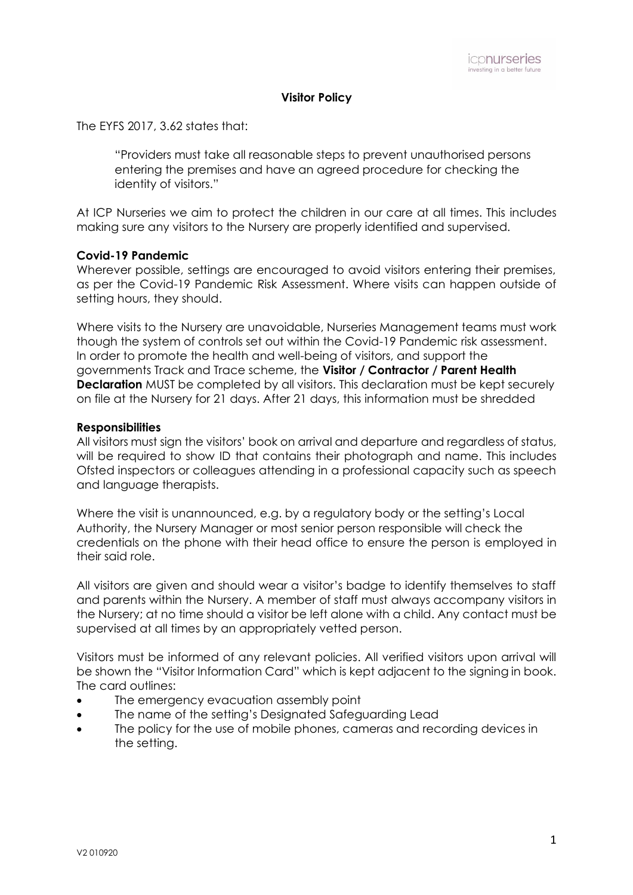### **Visitor Policy**

The EYFS 2017, 3.62 states that:

"Providers must take all reasonable steps to prevent unauthorised persons entering the premises and have an agreed procedure for checking the identity of visitors."

At ICP Nurseries we aim to protect the children in our care at all times. This includes making sure any visitors to the Nursery are properly identified and supervised.

### **Covid-19 Pandemic**

Wherever possible, settings are encouraged to avoid visitors entering their premises, as per the Covid-19 Pandemic Risk Assessment. Where visits can happen outside of setting hours, they should.

Where visits to the Nursery are unavoidable, Nurseries Management teams must work though the system of controls set out within the Covid-19 Pandemic risk assessment. In order to promote the health and well-being of visitors, and support the governments Track and Trace scheme, the **Visitor / Contractor / Parent Health Declaration** MUST be completed by all visitors. This declaration must be kept securely on file at the Nursery for 21 days. After 21 days, this information must be shredded

### **Responsibilities**

All visitors must sign the visitors' book on arrival and departure and regardless of status, will be required to show ID that contains their photograph and name. This includes Ofsted inspectors or colleagues attending in a professional capacity such as speech and language therapists.

Where the visit is unannounced, e.g. by a regulatory body or the setting's Local Authority, the Nursery Manager or most senior person responsible will check the credentials on the phone with their head office to ensure the person is employed in their said role.

All visitors are given and should wear a visitor's badge to identify themselves to staff and parents within the Nursery. A member of staff must always accompany visitors in the Nursery; at no time should a visitor be left alone with a child. Any contact must be supervised at all times by an appropriately vetted person.

Visitors must be informed of any relevant policies. All verified visitors upon arrival will be shown the "Visitor Information Card" which is kept adjacent to the signing in book. The card outlines:

- The emergency evacuation assembly point
- The name of the setting's Designated Safeguarding Lead
- The policy for the use of mobile phones, cameras and recording devices in the setting.